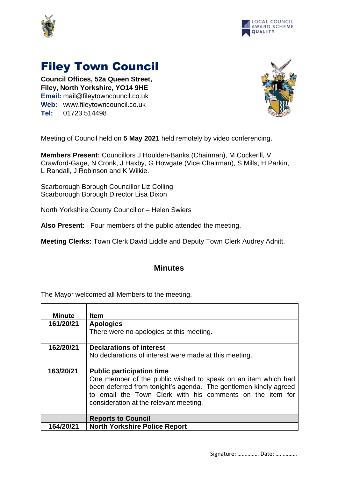



## Filey Town Council

**Council Offices, 52a Queen Street, Filey, North Yorkshire, YO14 9HE Email:** mail@fileytowncouncil.co.uk **Web:** www.fileytowncouncil.co.uk **Tel:** 01723 514498



Meeting of Council held on **5 May 2021** held remotely by video conferencing.

**Members Present:** Councillors J Houlden-Banks (Chairman), M Cockerill, V Crawford-Gage, N Cronk, J Haxby, G Howgate (Vice Chairman), S Mills, H Parkin, L Randall, J Robinson and K Wilkie.

Scarborough Borough Councillor Liz Colling Scarborough Borough Director Lisa Dixon

North Yorkshire County Councillor – Helen Swiers

**Also Present:** Four members of the public attended the meeting.

**Meeting Clerks:** Town Clerk David Liddle and Deputy Town Clerk Audrey Adnitt.

## **Minutes**

The Mayor welcomed all Members to the meeting.

| <b>Minute</b> | <b>Item</b>                                                      |
|---------------|------------------------------------------------------------------|
| 161/20/21     | <b>Apologies</b>                                                 |
|               | There were no apologies at this meeting.                         |
| 162/20/21     | <b>Declarations of interest</b>                                  |
|               | No declarations of interest were made at this meeting.           |
|               |                                                                  |
| 163/20/21     | <b>Public participation time</b>                                 |
|               | One member of the public wished to speak on an item which had    |
|               | been deferred from tonight's agenda. The gentlemen kindly agreed |
|               | to email the Town Clerk with his comments on the item for        |
|               | consideration at the relevant meeting.                           |
|               |                                                                  |
|               | <b>Reports to Council</b>                                        |
| 164/20/21     | <b>North Yorkshire Police Report</b>                             |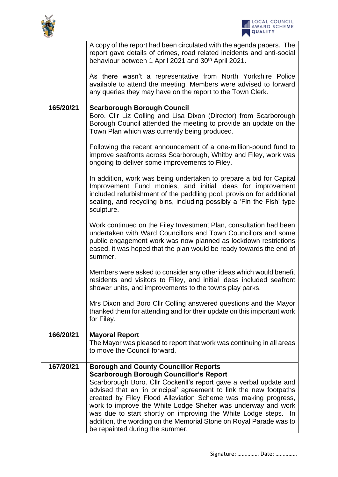



|           | A copy of the report had been circulated with the agenda papers. The<br>report gave details of crimes, road related incidents and anti-social<br>behaviour between 1 April 2021 and 30 <sup>th</sup> April 2021.                                                                                  |
|-----------|---------------------------------------------------------------------------------------------------------------------------------------------------------------------------------------------------------------------------------------------------------------------------------------------------|
|           | As there wasn't a representative from North Yorkshire Police<br>available to attend the meeting, Members were advised to forward<br>any queries they may have on the report to the Town Clerk.                                                                                                    |
| 165/20/21 | <b>Scarborough Borough Council</b><br>Boro. Cllr Liz Colling and Lisa Dixon (Director) from Scarborough<br>Borough Council attended the meeting to provide an update on the<br>Town Plan which was currently being produced.                                                                      |
|           | Following the recent announcement of a one-million-pound fund to<br>improve seafronts across Scarborough, Whitby and Filey, work was<br>ongoing to deliver some improvements to Filey.                                                                                                            |
|           | In addition, work was being undertaken to prepare a bid for Capital<br>Improvement Fund monies, and initial ideas for improvement<br>included refurbishment of the paddling pool, provision for additional<br>seating, and recycling bins, including possibly a 'Fin the Fish' type<br>sculpture. |
|           | Work continued on the Filey Investment Plan, consultation had been<br>undertaken with Ward Councillors and Town Councillors and some<br>public engagement work was now planned as lockdown restrictions<br>eased, it was hoped that the plan would be ready towards the end of<br>summer.         |
|           | Members were asked to consider any other ideas which would benefit<br>residents and visitors to Filey, and initial ideas included seafront<br>shower units, and improvements to the towns play parks.                                                                                             |
|           | Mrs Dixon and Boro Cllr Colling answered questions and the Mayor<br>thanked them for attending and for their update on this important work<br>for Filey.                                                                                                                                          |
| 166/20/21 | <b>Mayoral Report</b><br>The Mayor was pleased to report that work was continuing in all areas<br>to move the Council forward.                                                                                                                                                                    |
| 167/20/21 | <b>Borough and County Councillor Reports</b>                                                                                                                                                                                                                                                      |
|           | <b>Scarborough Borough Councillor's Report</b><br>Scarborough Boro. Cllr Cockerill's report gave a verbal update and                                                                                                                                                                              |
|           | advised that an 'in principal' agreement to link the new footpaths                                                                                                                                                                                                                                |
|           | created by Filey Flood Alleviation Scheme was making progress,                                                                                                                                                                                                                                    |
|           | work to improve the White Lodge Shelter was underway and work<br>was due to start shortly on improving the White Lodge steps. In                                                                                                                                                                  |
|           | addition, the wording on the Memorial Stone on Royal Parade was to                                                                                                                                                                                                                                |
|           | be repainted during the summer.                                                                                                                                                                                                                                                                   |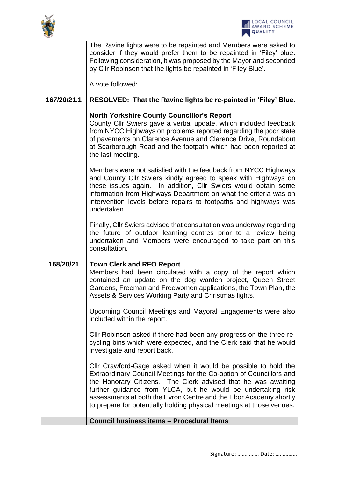



|             | The Ravine lights were to be repainted and Members were asked to<br>consider if they would prefer them to be repainted in 'Filey' blue.<br>Following consideration, it was proposed by the Mayor and seconded<br>by Cllr Robinson that the lights be repainted in 'Filey Blue'.<br>A vote followed:                                                                                                                  |
|-------------|----------------------------------------------------------------------------------------------------------------------------------------------------------------------------------------------------------------------------------------------------------------------------------------------------------------------------------------------------------------------------------------------------------------------|
| 167/20/21.1 | RESOLVED: That the Ravine lights be re-painted in 'Filey' Blue.                                                                                                                                                                                                                                                                                                                                                      |
|             | <b>North Yorkshire County Councillor's Report</b><br>County Cllr Swiers gave a verbal update, which included feedback<br>from NYCC Highways on problems reported regarding the poor state<br>of pavements on Clarence Avenue and Clarence Drive, Roundabout<br>at Scarborough Road and the footpath which had been reported at<br>the last meeting.                                                                  |
|             | Members were not satisfied with the feedback from NYCC Highways<br>and County Cllr Swiers kindly agreed to speak with Highways on<br>these issues again. In addition, Cllr Swiers would obtain some<br>information from Highways Department on what the criteria was on<br>intervention levels before repairs to footpaths and highways was<br>undertaken.                                                           |
|             | Finally, Cllr Swiers advised that consultation was underway regarding<br>the future of outdoor learning centres prior to a review being<br>undertaken and Members were encouraged to take part on this<br>consultation.                                                                                                                                                                                              |
| 168/20/21   | <b>Town Clerk and RFO Report</b><br>Members had been circulated with a copy of the report which<br>contained an update on the dog warden project, Queen Street<br>Gardens, Freeman and Freewomen applications, the Town Plan, the<br>Assets & Services Working Party and Christmas lights.                                                                                                                           |
|             | Upcoming Council Meetings and Mayoral Engagements were also<br>included within the report.                                                                                                                                                                                                                                                                                                                           |
|             | CIIr Robinson asked if there had been any progress on the three re-<br>cycling bins which were expected, and the Clerk said that he would<br>investigate and report back.                                                                                                                                                                                                                                            |
|             | Cllr Crawford-Gage asked when it would be possible to hold the<br>Extraordinary Council Meetings for the Co-option of Councillors and<br>the Honorary Citizens. The Clerk advised that he was awaiting<br>further guidance from YLCA, but he would be undertaking risk<br>assessments at both the Evron Centre and the Ebor Academy shortly<br>to prepare for potentially holding physical meetings at those venues. |
|             | <b>Council business items - Procedural Items</b>                                                                                                                                                                                                                                                                                                                                                                     |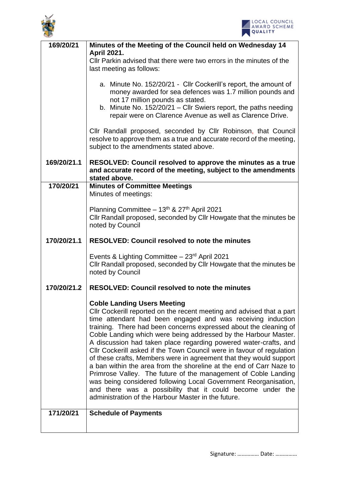



| 169/20/21   | Minutes of the Meeting of the Council held on Wednesday 14                                                                                    |  |
|-------------|-----------------------------------------------------------------------------------------------------------------------------------------------|--|
|             | <b>April 2021.</b><br>Cllr Parkin advised that there were two errors in the minutes of the                                                    |  |
|             | last meeting as follows:                                                                                                                      |  |
|             | a. Minute No. 152/20/21 - Cllr Cockerill's report, the amount of                                                                              |  |
|             | money awarded for sea defences was 1.7 million pounds and                                                                                     |  |
|             | not 17 million pounds as stated.                                                                                                              |  |
|             | b. Minute No. 152/20/21 - Cllr Swiers report, the paths needing<br>repair were on Clarence Avenue as well as Clarence Drive.                  |  |
|             | Cllr Randall proposed, seconded by Cllr Robinson, that Council<br>resolve to approve them as a true and accurate record of the meeting,       |  |
|             | subject to the amendments stated above.                                                                                                       |  |
| 169/20/21.1 | RESOLVED: Council resolved to approve the minutes as a true<br>and accurate record of the meeting, subject to the amendments<br>stated above. |  |
| 170/20/21   | <b>Minutes of Committee Meetings</b>                                                                                                          |  |
|             | Minutes of meetings:                                                                                                                          |  |
|             | Planning Committee - 13th & 27th April 2021                                                                                                   |  |
|             | Cllr Randall proposed, seconded by Cllr Howgate that the minutes be<br>noted by Council                                                       |  |
|             |                                                                                                                                               |  |
| 170/20/21.1 | <b>RESOLVED: Council resolved to note the minutes</b>                                                                                         |  |
|             | Events & Lighting Committee $-23$ <sup>rd</sup> April 2021                                                                                    |  |
|             | Cllr Randall proposed, seconded by Cllr Howgate that the minutes be<br>noted by Council                                                       |  |
|             |                                                                                                                                               |  |
| 170/20/21.2 | <b>RESOLVED: Council resolved to note the minutes</b>                                                                                         |  |
|             | <b>Coble Landing Users Meeting</b>                                                                                                            |  |
|             | Cllr Cockerill reported on the recent meeting and advised that a part<br>time attendant had been engaged and was receiving induction          |  |
|             | training. There had been concerns expressed about the cleaning of                                                                             |  |
|             | Coble Landing which were being addressed by the Harbour Master.                                                                               |  |
|             | A discussion had taken place regarding powered water-crafts, and<br>Cllr Cockerill asked if the Town Council were in favour of regulation     |  |
|             | of these crafts, Members were in agreement that they would support                                                                            |  |
|             | a ban within the area from the shoreline at the end of Carr Naze to<br>Primrose Valley. The future of the management of Coble Landing         |  |
|             | was being considered following Local Government Reorganisation,                                                                               |  |
|             | and there was a possibility that it could become under the<br>administration of the Harbour Master in the future.                             |  |
|             |                                                                                                                                               |  |
| 171/20/21   | <b>Schedule of Payments</b>                                                                                                                   |  |
|             |                                                                                                                                               |  |